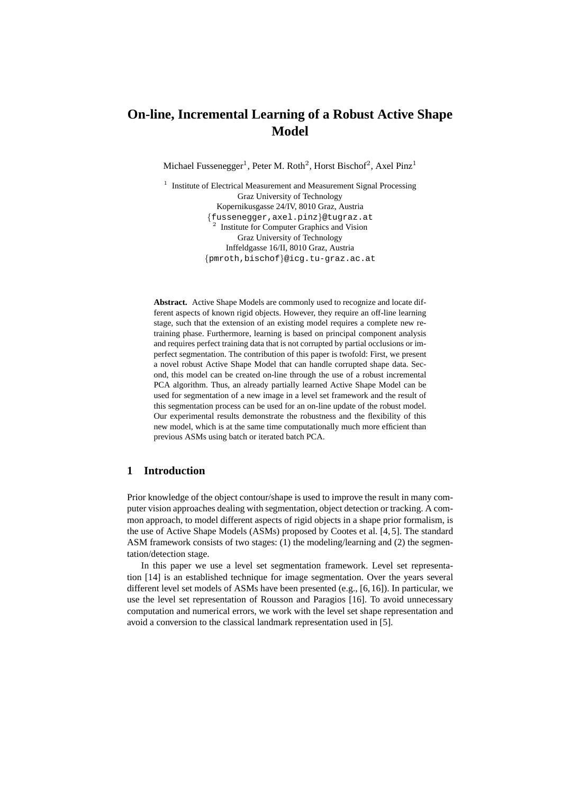# **On-line, Incremental Learning of a Robust Active Shape Model**

Michael Fussenegger<sup>1</sup>, Peter M. Roth<sup>2</sup>, Horst Bischof<sup>2</sup>, Axel Pinz<sup>1</sup>

<sup>1</sup> Institute of Electrical Measurement and Measurement Signal Processing Graz University of Technology Kopernikusgasse 24/IV, 8010 Graz, Austria {fussenegger,axel.pinz}@tugraz.at <sup>2</sup> Institute for Computer Graphics and Vision Graz University of Technology Inffeldgasse 16/II, 8010 Graz, Austria {pmroth,bischof}@icg.tu-graz.ac.at

**Abstract.** Active Shape Models are commonly used to recognize and locate different aspects of known rigid objects. However, they require an off-line learning stage, such that the extension of an existing model requires a complete new retraining phase. Furthermore, learning is based on principal component analysis and requires perfect training data that is not corrupted by partial occlusions or imperfect segmentation. The contribution of this paper is twofold: First, we present a novel robust Active Shape Model that can handle corrupted shape data. Second, this model can be created on-line through the use of a robust incremental PCA algorithm. Thus, an already partially learned Active Shape Model can be used for segmentation of a new image in a level set framework and the result of this segmentation process can be used for an on-line update of the robust model. Our experimental results demonstrate the robustness and the flexibility of this new model, which is at the same time computationally much more efficient than previous ASMs using batch or iterated batch PCA.

# **1 Introduction**

Prior knowledge of the object contour/shape is used to improve the result in many computer vision approaches dealing with segmentation, object detection or tracking. A common approach, to model different aspects of rigid objects in a shape prior formalism, is the use of Active Shape Models (ASMs) proposed by Cootes et al. [4, 5]. The standard ASM framework consists of two stages: (1) the modeling/learning and (2) the segmentation/detection stage.

In this paper we use a level set segmentation framework. Level set representation [14] is an established technique for image segmentation. Over the years several different level set models of ASMs have been presented (e.g., [6, 16]). In particular, we use the level set representation of Rousson and Paragios [16]. To avoid unnecessary computation and numerical errors, we work with the level set shape representation and avoid a conversion to the classical landmark representation used in [5].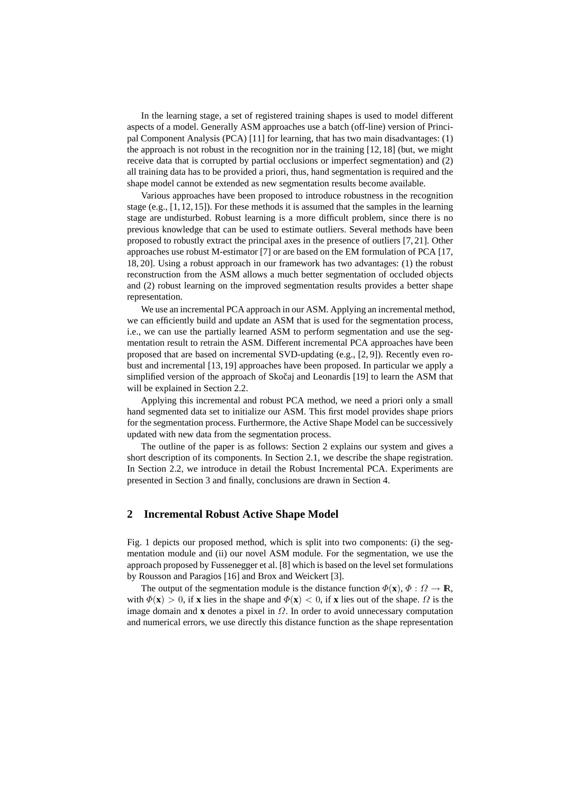In the learning stage, a set of registered training shapes is used to model different aspects of a model. Generally ASM approaches use a batch (off-line) version of Principal Component Analysis (PCA) [11] for learning, that has two main disadvantages: (1) the approach is not robust in the recognition nor in the training [12, 18] (but, we might receive data that is corrupted by partial occlusions or imperfect segmentation) and (2) all training data has to be provided a priori, thus, hand segmentation is required and the shape model cannot be extended as new segmentation results become available.

Various approaches have been proposed to introduce robustness in the recognition stage (e.g.,  $[1, 12, 15]$ ). For these methods it is assumed that the samples in the learning stage are undisturbed. Robust learning is a more difficult problem, since there is no previous knowledge that can be used to estimate outliers. Several methods have been proposed to robustly extract the principal axes in the presence of outliers [7, 21]. Other approaches use robust M-estimator [7] or are based on the EM formulation of PCA [17, 18, 20]. Using a robust approach in our framework has two advantages: (1) the robust reconstruction from the ASM allows a much better segmentation of occluded objects and (2) robust learning on the improved segmentation results provides a better shape representation.

We use an incremental PCA approach in our ASM. Applying an incremental method, we can efficiently build and update an ASM that is used for the segmentation process, i.e., we can use the partially learned ASM to perform segmentation and use the segmentation result to retrain the ASM. Different incremental PCA approaches have been proposed that are based on incremental SVD-updating (e.g., [2, 9]). Recently even robust and incremental [13, 19] approaches have been proposed. In particular we apply a simplified version of the approach of Skočaj and Leonardis [19] to learn the ASM that will be explained in Section 2.2.

Applying this incremental and robust PCA method, we need a priori only a small hand segmented data set to initialize our ASM. This first model provides shape priors for the segmentation process. Furthermore, the Active Shape Model can be successively updated with new data from the segmentation process.

The outline of the paper is as follows: Section 2 explains our system and gives a short description of its components. In Section 2.1, we describe the shape registration. In Section 2.2, we introduce in detail the Robust Incremental PCA. Experiments are presented in Section 3 and finally, conclusions are drawn in Section 4.

# **2 Incremental Robust Active Shape Model**

Fig. 1 depicts our proposed method, which is split into two components: (i) the segmentation module and (ii) our novel ASM module. For the segmentation, we use the approach proposed by Fussenegger et al. [8] which is based on the level set formulations by Rousson and Paragios [16] and Brox and Weickert [3].

The output of the segmentation module is the distance function  $\Phi(\mathbf{x}), \Phi : \Omega \to \mathbb{R}$ , with  $\Phi(\mathbf{x}) > 0$ , if **x** lies in the shape and  $\Phi(\mathbf{x}) < 0$ , if **x** lies out of the shape.  $\Omega$  is the image domain and **x** denotes a pixel in  $\Omega$ . In order to avoid unnecessary computation and numerical errors, we use directly this distance function as the shape representation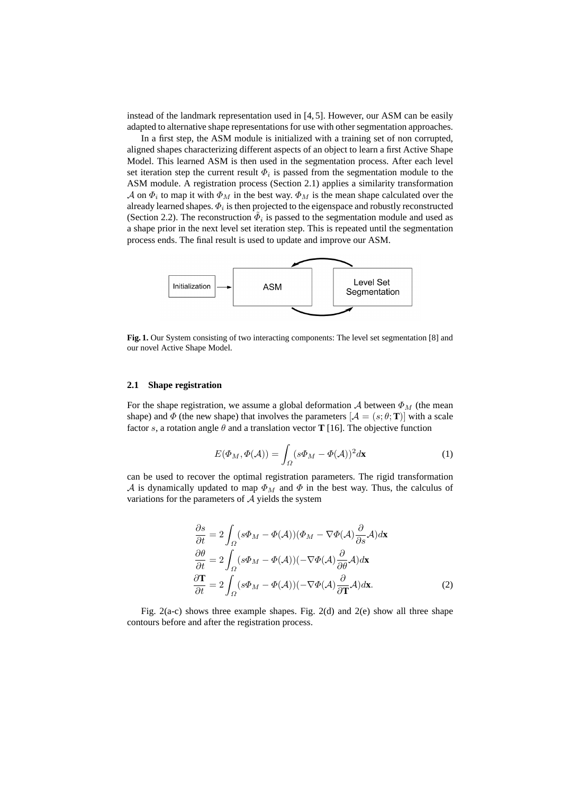instead of the landmark representation used in [4, 5]. However, our ASM can be easily adapted to alternative shape representations for use with other segmentation approaches.

In a first step, the ASM module is initialized with a training set of non corrupted, aligned shapes characterizing different aspects of an object to learn a first Active Shape Model. This learned ASM is then used in the segmentation process. After each level set iteration step the current result  $\Phi_i$  is passed from the segmentation module to the ASM module. A registration process (Section 2.1) applies a similarity transformation A on  $\Phi_i$  to map it with  $\Phi_M$  in the best way.  $\Phi_M$  is the mean shape calculated over the already learned shapes.  $\Phi_i$  is then projected to the eigenspace and robustly reconstructed (Section 2.2). The reconstruction  $\tilde{\Phi}_i$  is passed to the segmentation module and used as a shape prior in the next level set iteration step. This is repeated until the segmentation process ends. The final result is used to update and improve our ASM.



**Fig. 1.** Our System consisting of two interacting components: The level set segmentation [8] and our novel Active Shape Model.

#### **2.1 Shape registration**

For the shape registration, we assume a global deformation  $A$  between  $\Phi_M$  (the mean shape) and  $\Phi$  (the new shape) that involves the parameters  $[A = (s; \theta; \mathbf{T})]$  with a scale factor s, a rotation angle  $\theta$  and a translation vector **T** [16]. The objective function

$$
E(\Phi_M, \Phi(\mathcal{A})) = \int_{\Omega} (s\Phi_M - \Phi(\mathcal{A}))^2 d\mathbf{x}
$$
 (1)

can be used to recover the optimal registration parameters. The rigid transformation A is dynamically updated to map  $\Phi_M$  and  $\Phi$  in the best way. Thus, the calculus of variations for the parameters of  $A$  yields the system

$$
\frac{\partial s}{\partial t} = 2 \int_{\Omega} (s\Phi_M - \Phi(\mathcal{A})) (\Phi_M - \nabla \Phi(\mathcal{A}) \frac{\partial}{\partial s} \mathcal{A}) d\mathbf{x}
$$

$$
\frac{\partial \theta}{\partial t} = 2 \int_{\Omega} (s\Phi_M - \Phi(\mathcal{A})) (-\nabla \Phi(\mathcal{A}) \frac{\partial}{\partial \theta} \mathcal{A}) d\mathbf{x}
$$

$$
\frac{\partial \mathbf{T}}{\partial t} = 2 \int_{\Omega} (s\Phi_M - \Phi(\mathcal{A})) (-\nabla \Phi(\mathcal{A}) \frac{\partial}{\partial \mathbf{T}} \mathcal{A}) d\mathbf{x}.
$$
(2)

Fig.  $2(a-c)$  shows three example shapes. Fig.  $2(d)$  and  $2(e)$  show all three shape contours before and after the registration process.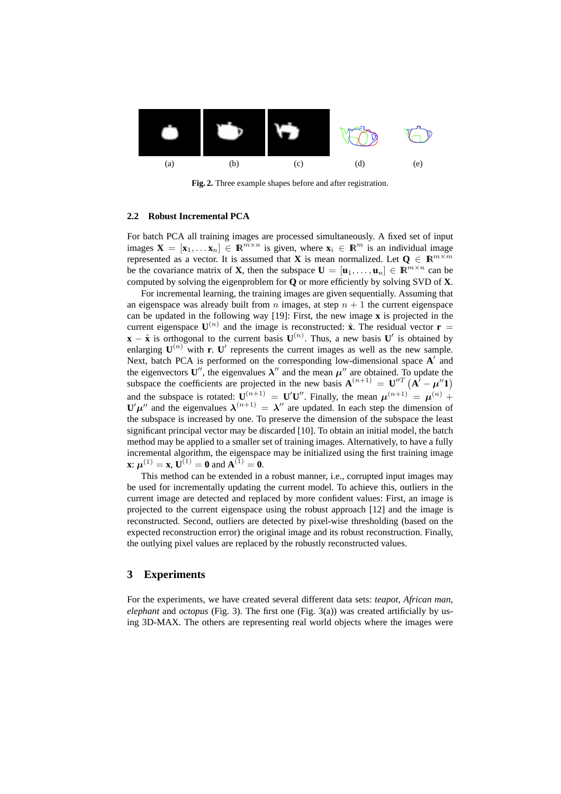

**Fig. 2.** Three example shapes before and after registration.

#### **2.2 Robust Incremental PCA**

For batch PCA all training images are processed simultaneously. A fixed set of input images  $X = [x_1, \dots x_n] \in \mathbb{R}^{m \times n}$  is given, where  $x_i \in \mathbb{R}^m$  is an individual image represented as a vector. It is assumed that **X** is mean normalized. Let  $Q \in \mathbb{R}^{m \times m}$ be the covariance matrix of **X**, then the subspace  $\mathbf{U} = [\mathbf{u}_1, \dots, \mathbf{u}_n] \in \mathbb{R}^{m \times n}$  can be computed by solving the eigenproblem for **Q** or more efficiently by solving SVD of **X**.

For incremental learning, the training images are given sequentially. Assuming that an eigenspace was already built from n images, at step  $n + 1$  the current eigenspace can be updated in the following way [19]: First, the new image **x** is projected in the current eigenspace  $\mathbf{U}^{(n)}$  and the image is reconstructed:  $\tilde{\mathbf{x}}$ . The residual vector  $\mathbf{r} =$  $\mathbf{x} - \tilde{\mathbf{x}}$  is orthogonal to the current basis  $\mathbf{U}^{(n)}$ . Thus, a new basis  $\mathbf{U}'$  is obtained by enlarging  $\mathbf{U}^{(n)}$  with **r**.  $\mathbf{U}'$  represents the current images as well as the new sample. Next, batch PCA is performed on the corresponding low-dimensional space  $A'$  and the eigenvectors **U''**, the eigenvalues  $\lambda''$  and the mean  $\mu''$  are obtained. To update the subspace the coefficients are projected in the new basis  $A^{(n+1)} = U''^T (A^T - \mu'')$ and the subspace is rotated:  $\mathbf{U}^{(n+1)} = \mathbf{U}'\mathbf{U}''$ . Finally, the mean  $\mu^{(n+1)} = \mu^{(n)} + \mu^{(n)}$  $\mathbf{U}'\boldsymbol{\mu}''$  and the eigenvalues  $\boldsymbol{\lambda}^{(n+1)} = \boldsymbol{\lambda}''$  are updated. In each step the dimension of the subspace is increased by one. To preserve the dimension of the subspace the least significant principal vector may be discarded [10]. To obtain an initial model, the batch method may be applied to a smaller set of training images. Alternatively, to have a fully incremental algorithm, the eigenspace may be initialized using the first training image **x**:  $\mu^{(1)} =$  **x**,  $U^{(1)} = 0$  and  $A^{(1)} = 0$ .

This method can be extended in a robust manner, i.e., corrupted input images may be used for incrementally updating the current model. To achieve this, outliers in the current image are detected and replaced by more confident values: First, an image is projected to the current eigenspace using the robust approach [12] and the image is reconstructed. Second, outliers are detected by pixel-wise thresholding (based on the expected reconstruction error) the original image and its robust reconstruction. Finally, the outlying pixel values are replaced by the robustly reconstructed values.

# **3 Experiments**

For the experiments, we have created several different data sets: *teapot*, *African man*, *elephant* and *octopus* (Fig. 3). The first one (Fig. 3(a)) was created artificially by using 3D-MAX. The others are representing real world objects where the images were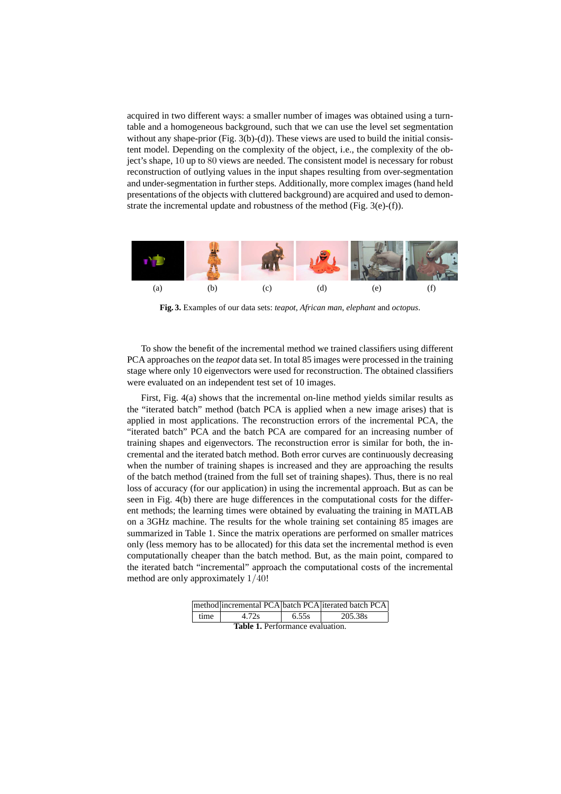acquired in two different ways: a smaller number of images was obtained using a turntable and a homogeneous background, such that we can use the level set segmentation without any shape-prior (Fig.  $3(b)-(d)$ ). These views are used to build the initial consistent model. Depending on the complexity of the object, i.e., the complexity of the object's shape, 10 up to 80 views are needed. The consistent model is necessary for robust reconstruction of outlying values in the input shapes resulting from over-segmentation and under-segmentation in further steps. Additionally, more complex images (hand held presentations of the objects with cluttered background) are acquired and used to demonstrate the incremental update and robustness of the method (Fig. 3(e)-(f)).



**Fig. 3.** Examples of our data sets: *teapot*, *African man*, *elephant* and *octopus*.

To show the benefit of the incremental method we trained classifiers using different PCA approaches on the *teapot* data set. In total 85 images were processed in the training stage where only 10 eigenvectors were used for reconstruction. The obtained classifiers were evaluated on an independent test set of 10 images.

First, Fig. 4(a) shows that the incremental on-line method yields similar results as the "iterated batch" method (batch PCA is applied when a new image arises) that is applied in most applications. The reconstruction errors of the incremental PCA, the "iterated batch" PCA and the batch PCA are compared for an increasing number of training shapes and eigenvectors. The reconstruction error is similar for both, the incremental and the iterated batch method. Both error curves are continuously decreasing when the number of training shapes is increased and they are approaching the results of the batch method (trained from the full set of training shapes). Thus, there is no real loss of accuracy (for our application) in using the incremental approach. But as can be seen in Fig. 4(b) there are huge differences in the computational costs for the different methods; the learning times were obtained by evaluating the training in MATLAB on a 3GHz machine. The results for the whole training set containing 85 images are summarized in Table 1. Since the matrix operations are performed on smaller matrices only (less memory has to be allocated) for this data set the incremental method is even computationally cheaper than the batch method. But, as the main point, compared to the iterated batch "incremental" approach the computational costs of the incremental method are only approximately 1/40!

|                                |       |       | method incremental PCA batch PCA iterated batch PCA |
|--------------------------------|-------|-------|-----------------------------------------------------|
| time                           | 4.72s | 6.55s | 205.38s                                             |
| Table 1 Devformance avaluation |       |       |                                                     |

**Table 1.** Performance evaluation.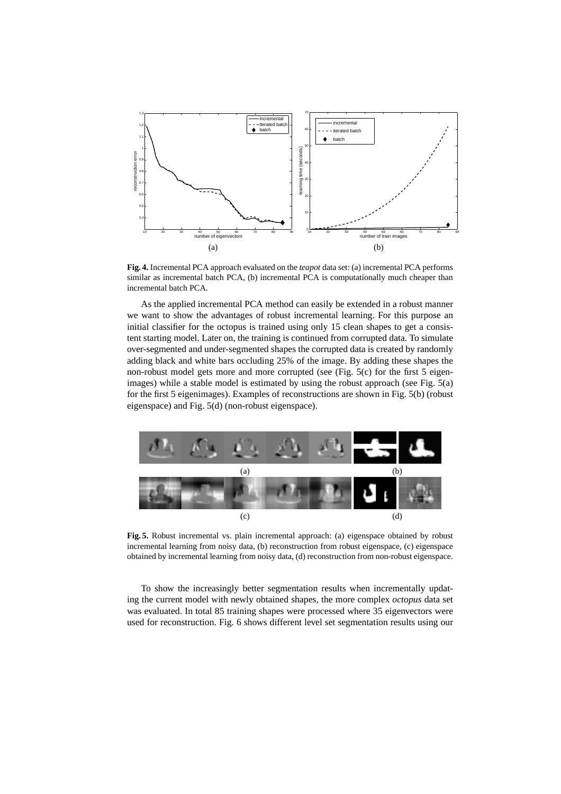

**Fig. 4.** Incremental PCA approach evaluated on the *teapot* data set: (a) incremental PCA performs similar as incremental batch PCA, (b) incremental PCA is computationally much cheaper than incremental batch PCA.

As the applied incremental PCA method can easily be extended in a robust manner we want to show the advantages of robust incremental learning. For this purpose an initial classifier for the octopus is trained using only 15 clean shapes to get a consistent starting model. Later on, the training is continued from corrupted data. To simulate over-segmented and under-segmented shapes the corrupted data is created by randomly adding black and white bars occluding 25% of the image. By adding these shapes the non-robust model gets more and more corrupted (see (Fig. 5(c) for the first 5 eigenimages) while a stable model is estimated by using the robust approach (see Fig. 5(a) for the first 5 eigenimages). Examples of reconstructions are shown in Fig. 5(b) (robust eigenspace) and Fig. 5(d) (non-robust eigenspace).



**Fig. 5.** Robust incremental vs. plain incremental approach: (a) eigenspace obtained by robust incremental learning from noisy data, (b) reconstruction from robust eigenspace, (c) eigenspace obtained by incremental learning from noisy data, (d) reconstruction from non-robust eigenspace.

To show the increasingly better segmentation results when incrementally updating the current model with newly obtained shapes, the more complex *octopus* data set was evaluated. In total 85 training shapes were processed where 35 eigenvectors were used for reconstruction. Fig. 6 shows different level set segmentation results using our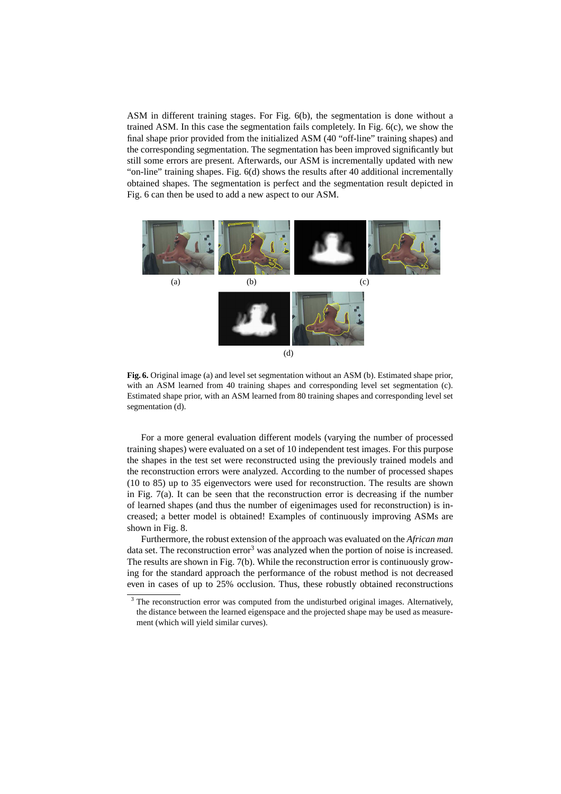ASM in different training stages. For Fig. 6(b), the segmentation is done without a trained ASM. In this case the segmentation fails completely. In Fig. 6(c), we show the final shape prior provided from the initialized ASM (40 "off-line" training shapes) and the corresponding segmentation. The segmentation has been improved significantly but still some errors are present. Afterwards, our ASM is incrementally updated with new "on-line" training shapes. Fig. 6(d) shows the results after 40 additional incrementally obtained shapes. The segmentation is perfect and the segmentation result depicted in Fig. 6 can then be used to add a new aspect to our ASM.



**Fig. 6.** Original image (a) and level set segmentation without an ASM (b). Estimated shape prior, with an ASM learned from 40 training shapes and corresponding level set segmentation (c). Estimated shape prior, with an ASM learned from 80 training shapes and corresponding level set segmentation (d).

For a more general evaluation different models (varying the number of processed training shapes) were evaluated on a set of 10 independent test images. For this purpose the shapes in the test set were reconstructed using the previously trained models and the reconstruction errors were analyzed. According to the number of processed shapes (10 to 85) up to 35 eigenvectors were used for reconstruction. The results are shown in Fig. 7(a). It can be seen that the reconstruction error is decreasing if the number of learned shapes (and thus the number of eigenimages used for reconstruction) is increased; a better model is obtained! Examples of continuously improving ASMs are shown in Fig. 8.

Furthermore, the robust extension of the approach was evaluated on the *African man* data set. The reconstruction error<sup>3</sup> was analyzed when the portion of noise is increased. The results are shown in Fig. 7(b). While the reconstruction error is continuously growing for the standard approach the performance of the robust method is not decreased even in cases of up to 25% occlusion. Thus, these robustly obtained reconstructions

<sup>&</sup>lt;sup>3</sup> The reconstruction error was computed from the undisturbed original images. Alternatively, the distance between the learned eigenspace and the projected shape may be used as measurement (which will yield similar curves).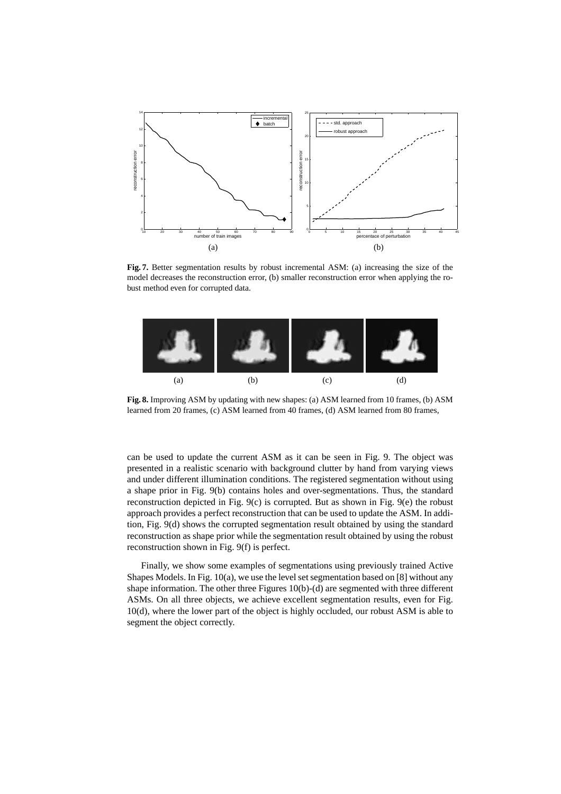

**Fig. 7.** Better segmentation results by robust incremental ASM: (a) increasing the size of the model decreases the reconstruction error, (b) smaller reconstruction error when applying the robust method even for corrupted data.



**Fig. 8.** Improving ASM by updating with new shapes: (a) ASM learned from 10 frames, (b) ASM learned from 20 frames, (c) ASM learned from 40 frames, (d) ASM learned from 80 frames,

can be used to update the current ASM as it can be seen in Fig. 9. The object was presented in a realistic scenario with background clutter by hand from varying views and under different illumination conditions. The registered segmentation without using a shape prior in Fig. 9(b) contains holes and over-segmentations. Thus, the standard reconstruction depicted in Fig. 9(c) is corrupted. But as shown in Fig. 9(e) the robust approach provides a perfect reconstruction that can be used to update the ASM. In addition, Fig. 9(d) shows the corrupted segmentation result obtained by using the standard reconstruction as shape prior while the segmentation result obtained by using the robust reconstruction shown in Fig. 9(f) is perfect.

Finally, we show some examples of segmentations using previously trained Active Shapes Models. In Fig. 10(a), we use the level set segmentation based on [8] without any shape information. The other three Figures 10(b)-(d) are segmented with three different ASMs. On all three objects, we achieve excellent segmentation results, even for Fig. 10(d), where the lower part of the object is highly occluded, our robust ASM is able to segment the object correctly.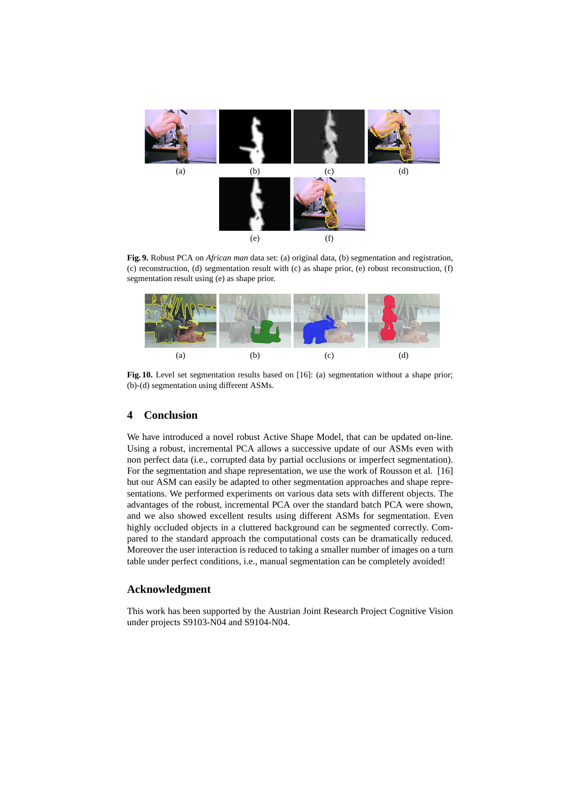

**Fig. 9.** Robust PCA on *African man* data set: (a) original data, (b) segmentation and registration, (c) reconstruction, (d) segmentation result with (c) as shape prior, (e) robust reconstruction, (f) segmentation result using (e) as shape prior.



**Fig. 10.** Level set segmentation results based on [16]: (a) segmentation without a shape prior; (b)-(d) segmentation using different ASMs.

# **4 Conclusion**

We have introduced a novel robust Active Shape Model, that can be updated on-line. Using a robust, incremental PCA allows a successive update of our ASMs even with non perfect data (i.e., corrupted data by partial occlusions or imperfect segmentation). For the segmentation and shape representation, we use the work of Rousson et al. [16] but our ASM can easily be adapted to other segmentation approaches and shape representations. We performed experiments on various data sets with different objects. The advantages of the robust, incremental PCA over the standard batch PCA were shown, and we also showed excellent results using different ASMs for segmentation. Even highly occluded objects in a cluttered background can be segmented correctly. Compared to the standard approach the computational costs can be dramatically reduced. Moreover the user interaction is reduced to taking a smaller number of images on a turn table under perfect conditions, i.e., manual segmentation can be completely avoided!

# **Acknowledgment**

This work has been supported by the Austrian Joint Research Project Cognitive Vision under projects S9103-N04 and S9104-N04.